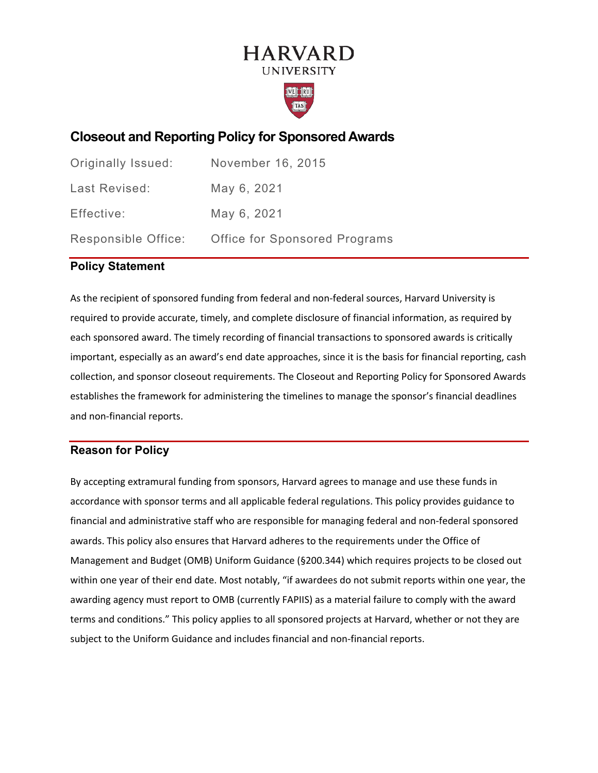# **HARVARD UNIVERSITY**



# **Closeout and Reporting Policy for Sponsored Awards**

| Originally Issued: | November 16, 2015                                 |
|--------------------|---------------------------------------------------|
| Last Revised:      | May 6, 2021                                       |
| Effective:         | May 6, 2021                                       |
|                    | Responsible Office: Office for Sponsored Programs |

## **Policy Statement**

As the recipient of sponsored funding from federal and non-federal sources, Harvard University is required to provide accurate, timely, and complete disclosure of financial information, as required by each sponsored award. The timely recording of financial transactions to sponsored awards is critically important, especially as an award's end date approaches, since it is the basis for financial reporting, cash collection, and sponsor closeout requirements. The Closeout and Reporting Policy for Sponsored Awards establishes the framework for administering the timelines to manage the sponsor's financial deadlines and non-financial reports.

# **Reason for Policy**

By accepting extramural funding from sponsors, Harvard agrees to manage and use these funds in accordance with sponsor terms and all applicable federal regulations. This policy provides guidance to financial and administrative staff who are responsible for managing federal and non-federal sponsored awards. This policy also ensures that Harvard adheres to the requirements under the Office of Management and Budget (OMB) Uniform Guidance (§200.344) which requires projects to be closed out within one year of their end date. Most notably, "if awardees do not submit reports within one year, the awarding agency must report to OMB (currently FAPIIS) as a material failure to comply with the award terms and conditions." This policy applies to all sponsored projects at Harvard, whether or not they are subject to the Uniform Guidance and includes financial and non-financial reports.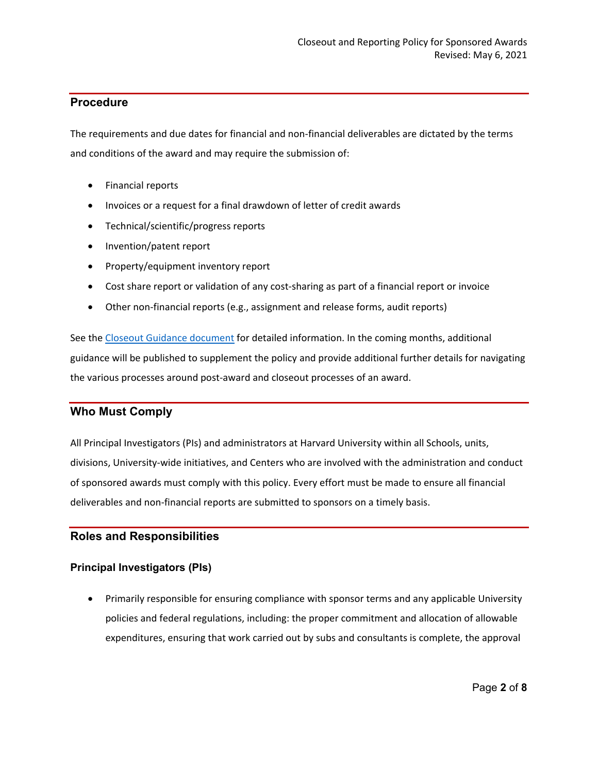# **Procedure**

The requirements and due dates for financial and non-financial deliverables are dictated by the terms and conditions of the award and may require the submission of:

- Financial reports
- Invoices or a request for a final drawdown of letter of credit awards
- Technical/scientific/progress reports
- Invention/patent report
- Property/equipment inventory report
- Cost share report or validation of any cost-sharing as part of a financial report or invoice
- Other non-financial reports (e.g., assignment and release forms, audit reports)

See the [Closeout Guidance document](https://osp.finance.harvard.edu/files/sponsored_financial_reporting_and_closeout_procedure-october2016.pdf) for detailed information. In the coming months, additional guidance will be published to supplement the policy and provide additional further details for navigating the various processes around post-award and closeout processes of an award.

# **Who Must Comply**

All Principal Investigators (PIs) and administrators at Harvard University within all Schools, units, divisions, University-wide initiatives, and Centers who are involved with the administration and conduct of sponsored awards must comply with this policy. Every effort must be made to ensure all financial deliverables and non-financial reports are submitted to sponsors on a timely basis.

# **Roles and Responsibilities**

# **Principal Investigators (PIs)**

• Primarily responsible for ensuring compliance with sponsor terms and any applicable University policies and federal regulations, including: the proper commitment and allocation of allowable expenditures, ensuring that work carried out by subs and consultants is complete, the approval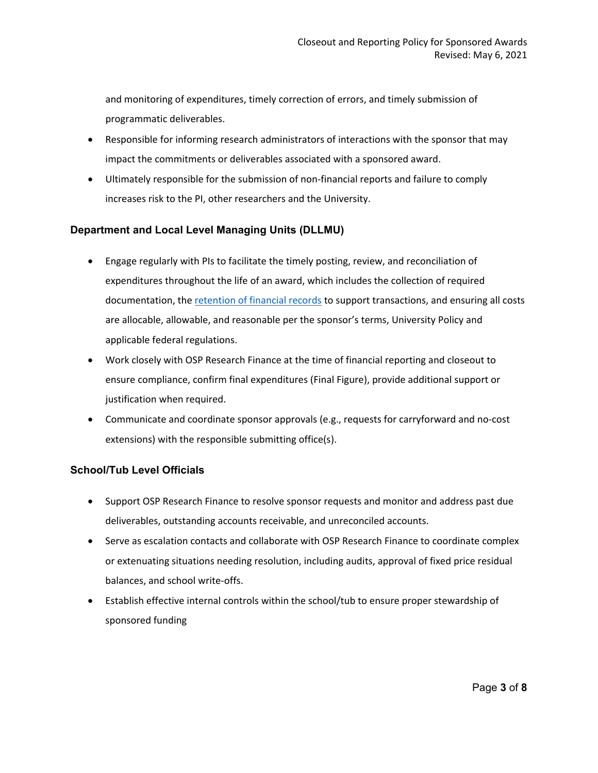and monitoring of expenditures, timely correction of errors, and timely submission of programmatic deliverables.

- Responsible for informing research administrators of interactions with the sponsor that may impact the commitments or deliverables associated with a sponsored award.
- Ultimately responsible for the submission of non-financial reports and failure to comply increases risk to the PI, other researchers and the University.

## **Department and Local Level Managing Units (DLLMU)**

- Engage regularly with PIs to facilitate the timely posting, review, and reconciliation of expenditures throughout the life of an award, which includes the collection of required documentation, the [retention of financial records](https://research.harvard.edu/2020/06/26/research-data-management/) to support transactions, and ensuring all costs are allocable, allowable, and reasonable per the sponsor's terms, University Policy and applicable federal regulations.
- Work closely with OSP Research Finance at the time of financial reporting and closeout to ensure compliance, confirm final expenditures (Final Figure), provide additional support or justification when required.
- Communicate and coordinate sponsor approvals (e.g., requests for carryforward and no-cost extensions) with the responsible submitting office(s).

## **School/Tub Level Officials**

- Support OSP Research Finance to resolve sponsor requests and monitor and address past due deliverables, outstanding accounts receivable, and unreconciled accounts.
- Serve as escalation contacts and collaborate with OSP Research Finance to coordinate complex or extenuating situations needing resolution, including audits, approval of fixed price residual balances, and school write-offs.
- Establish effective internal controls within the school/tub to ensure proper stewardship of sponsored funding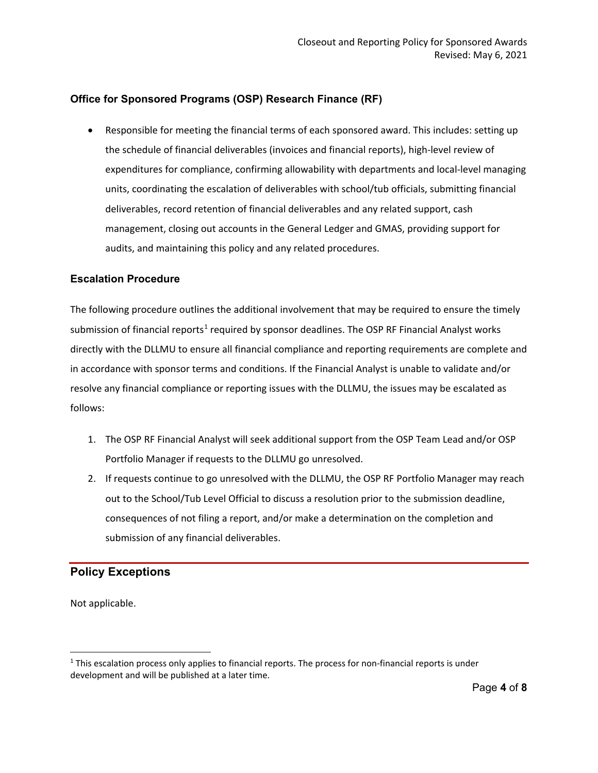## **Office for Sponsored Programs (OSP) Research Finance (RF)**

• Responsible for meeting the financial terms of each sponsored award. This includes: setting up the schedule of financial deliverables (invoices and financial reports), high-level review of expenditures for compliance, confirming allowability with departments and local-level managing units, coordinating the escalation of deliverables with school/tub officials, submitting financial deliverables, record retention of financial deliverables and any related support, cash management, closing out accounts in the General Ledger and GMAS, providing support for audits, and maintaining this policy and any related procedures.

#### **Escalation Procedure**

The following procedure outlines the additional involvement that may be required to ensure the timely submission of financial reports<sup>[1](#page-3-0)</sup> required by sponsor deadlines. The OSP RF Financial Analyst works directly with the DLLMU to ensure all financial compliance and reporting requirements are complete and in accordance with sponsor terms and conditions. If the Financial Analyst is unable to validate and/or resolve any financial compliance or reporting issues with the DLLMU, the issues may be escalated as follows:

- 1. The OSP RF Financial Analyst will seek additional support from the OSP Team Lead and/or OSP Portfolio Manager if requests to the DLLMU go unresolved.
- 2. If requests continue to go unresolved with the DLLMU, the OSP RF Portfolio Manager may reach out to the School/Tub Level Official to discuss a resolution prior to the submission deadline, consequences of not filing a report, and/or make a determination on the completion and submission of any financial deliverables.

# **Policy Exceptions**

Not applicable.

<span id="page-3-0"></span> $1$  This escalation process only applies to financial reports. The process for non-financial reports is under development and will be published at a later time.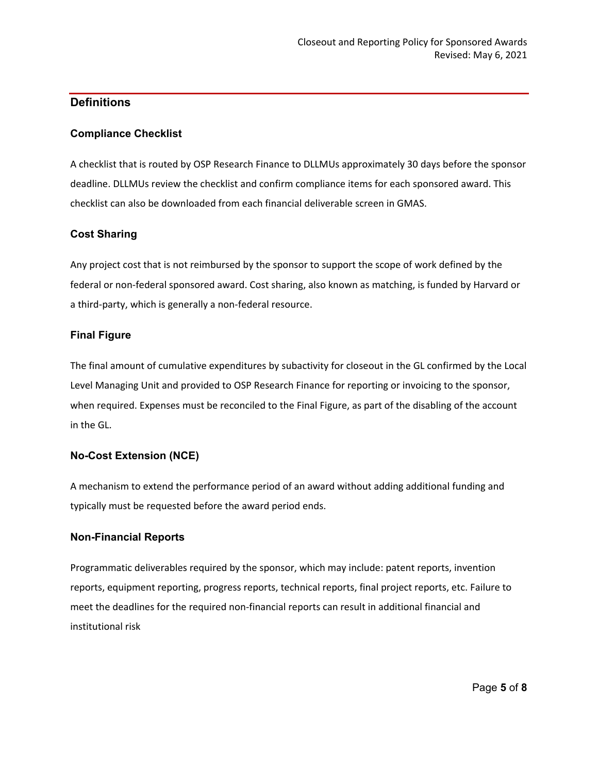# **Definitions**

## **Compliance Checklist**

A checklist that is routed by OSP Research Finance to DLLMUs approximately 30 days before the sponsor deadline. DLLMUs review the checklist and confirm compliance items for each sponsored award. This checklist can also be downloaded from each financial deliverable screen in GMAS.

## **Cost Sharing**

Any project cost that is not reimbursed by the sponsor to support the scope of work defined by the federal or non-federal sponsored award. Cost sharing, also known as matching, is funded by Harvard or a third-party, which is generally a non-federal resource.

## **Final Figure**

The final amount of cumulative expenditures by subactivity for closeout in the GL confirmed by the Local Level Managing Unit and provided to OSP Research Finance for reporting or invoicing to the sponsor, when required. Expenses must be reconciled to the Final Figure, as part of the disabling of the account in the GL.

# **No-Cost Extension (NCE)**

A mechanism to extend the performance period of an award without adding additional funding and typically must be requested before the award period ends.

## **Non-Financial Reports**

Programmatic deliverables required by the sponsor, which may include: patent reports, invention reports, equipment reporting, progress reports, technical reports, final project reports, etc. Failure to meet the deadlines for the required non-financial reports can result in additional financial and institutional risk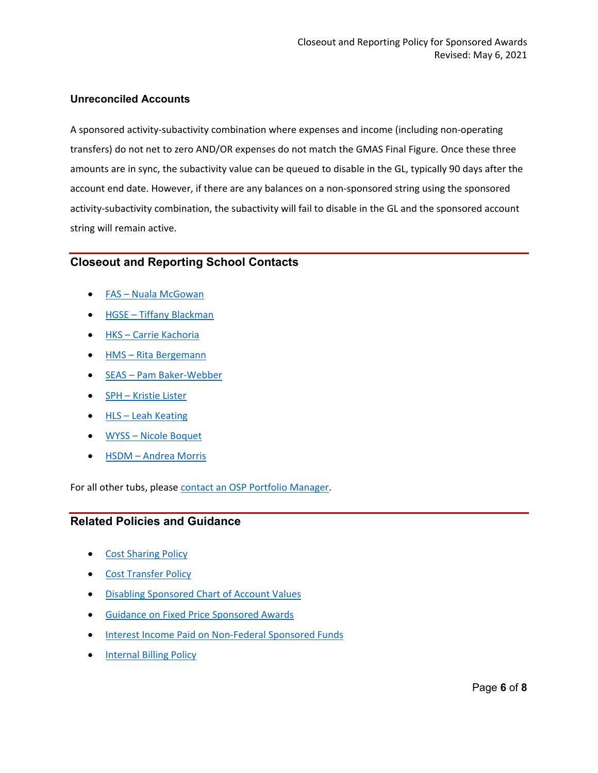## **Unreconciled Accounts**

A sponsored activity-subactivity combination where expenses and income (including non-operating transfers) do not net to zero AND/OR expenses do not match the GMAS Final Figure. Once these three amounts are in sync, the subactivity value can be queued to disable in the GL, typically 90 days after the account end date. However, if there are any balances on a non-sponsored string using the sponsored activity-subactivity combination, the subactivity will fail to disable in the GL and the sponsored account string will remain active.

# **Closeout and Reporting School Contacts**

- FAS –[Nuala McGowan](mailto:nmcgowan@fas.harvard.edu)
- HGSE –[Tiffany Blackman](mailto:tiffany_blackman@harvard.edu)
- HKS –[Carrie Kachoria](mailto:carrie_kachoria@hks.harvard.edu)
- HMS –[Rita Bergemann](mailto:RITA_BERGEMANN@hms.harvard.edu)
- SEAS –[Pam Baker](mailto:bakerwebber@fas.harvard.edu)-Webber
- SPH –[Kristie Lister](mailto:kfroman@hsph.harvard.edu)
- HLS Leah Keating
- WYSS –[Nicole Boquet](mailto:nicole.boquet@wyss.harvard.edu)
- HSDM –[Andrea Morris](mailto:andrea_morris@hsdm.harvard.edu)

For all other tubs, please [contact an OSP Portfolio Manager.](https://osp.finance.harvard.edu/find-your-osp-contact)

# **Related Policies and Guidance**

- [Cost Sharing Policy](https://osp.finance.harvard.edu/cost-sharing-policy)
- [Cost Transfer Policy](https://osp.finance.harvard.edu/cost-transfer-policy)
- [Disabling Sponsored Chart of Account Values](https://osp.finance.harvard.edu/disabling-coa)
- [Guidance on Fixed Price Sponsored Awards](https://osp.finance.harvard.edu/guidance-fixed-price-sponsored-awards)
- [Interest Income Paid on Non-Federal Sponsored Funds](https://osp.finance.harvard.edu/interest-income-paid-non-federal-sponsored-funds)
- [Internal Billing Policy](https://policies.fad.harvard.edu/pages/internal-billing-transactions)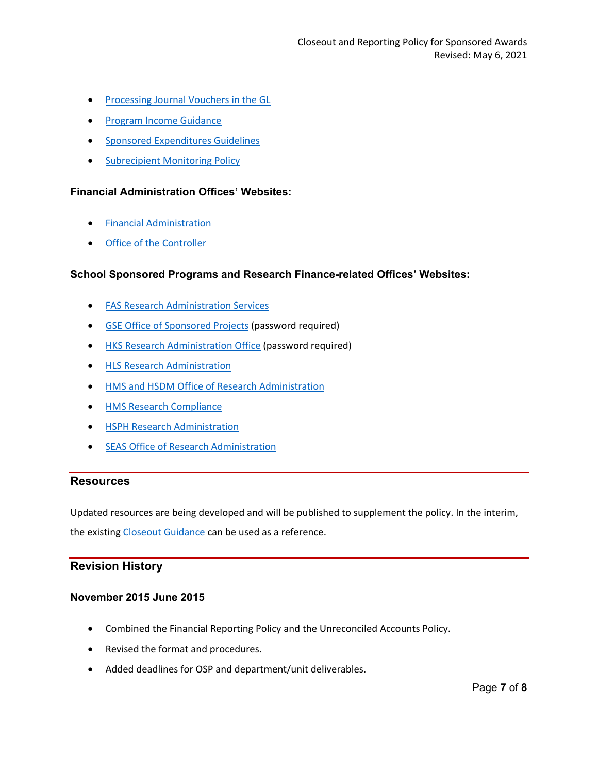- [Processing Journal Vouchers in the GL](https://oc.finance.harvard.edu/how-to/financial-accounting-and-reporting/general-ledger)
- [Program Income Guidance](https://osp.finance.harvard.edu/program-income-guidance)
- [Sponsored Expenditures Guidelines](https://osp.finance.harvard.edu/sponsored-expenditures-guidelines)
- [Subrecipient Monitoring Policy](https://osp.finance.harvard.edu/subrecipient-monitoring-policy)

#### **Financial Administration Offices' Websites:**

- [Financial Administration](https://finance.harvard.edu/)
- [Office of the Controller](https://oc.finance.harvard.edu/)

#### **School Sponsored Programs and Research Finance-related Offices' Websites:**

- [FAS Research Administration Services](https://research.fas.harvard.edu/)
- [GSE Office of Sponsored Projects](http://osp.gse.harvard.edu/) (password required)
- [HKS Research Administration Office](https://knet.hks.harvard.edu/Administration/Research-Administration/Pages/default.aspx) (password required)
- [HLS Research Administration](https://hls.harvard.edu/dept/finance/sponsored-research/)
- [HMS and HSDM Office of Research Administration](https://researchadmin.hms.harvard.edu/)
- [HMS Research Compliance](https://ari.hms.harvard.edu/research-compliance)
- [HSPH Research Administration](https://hcsra.sph.harvard.edu/)
- [SEAS Office of Research Administration](https://www.seas.harvard.edu/office-research-administration)

#### **Resources**

Updated resources are being developed and will be published to supplement the policy. In the interim, the existing [Closeout Guidance](https://osp.finance.harvard.edu/files/sponsored_financial_reporting_and_closeout_procedure-october2016.pdf) can be used as a reference.

## **Revision History**

## **November 2015 June 2015**

- Combined the Financial Reporting Policy and the Unreconciled Accounts Policy.
- Revised the format and procedures.
- Added deadlines for OSP and department/unit deliverables.